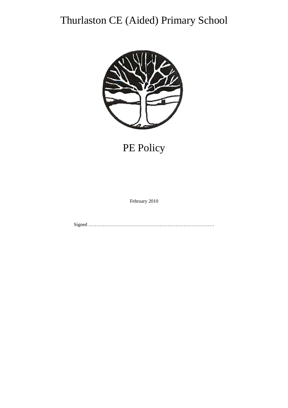# Thurlaston CE (Aided) Primary School



## PE Policy

February 2010

Signed ……………………………………………………………………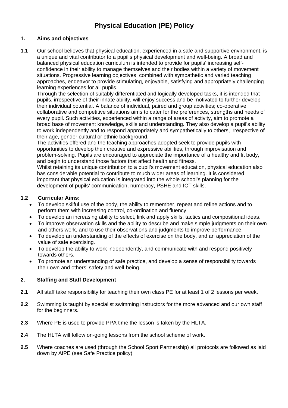### **Physical Education (PE) Policy**

#### **1. Aims and objectives**

**1.1** Our school believes that physical education, experienced in a safe and supportive environment, is a unique and vital contributor to a pupil's physical development and well-being. A broad and balanced physical education curriculum is intended to provide for pupils' increasing selfconfidence in their ability to manage themselves and their bodies within a variety of movement situations. Progressive learning objectives, combined with sympathetic and varied teaching approaches, endeavor to provide stimulating, enjoyable, satisfying and appropriately challenging learning experiences for all pupils.

Through the selection of suitably differentiated and logically developed tasks, it is intended that pupils, irrespective of their innate ability, will enjoy success and be motivated to further develop their individual potential. A balance of individual, paired and group activities; co-operative, collaborative and competitive situations aims to cater for the preferences, strengths and needs of every pupil. Such activities, experienced within a range of areas of activity, aim to promote a broad base of movement knowledge, skills and understanding. They also develop a pupil's ability to work independently and to respond appropriately and sympathetically to others, irrespective of their age, gender cultural or ethnic background.

The activities offered and the teaching approaches adopted seek to provide pupils with opportunities to develop their creative and expressive abilities, through improvisation and problem-solving. Pupils are encouraged to appreciate the importance of a healthy and fit body, and begin to understand those factors that affect health and fitness.

Whilst retaining its unique contribution to a pupil's movement education, physical education also has considerable potential to contribute to much wider areas of learning. It is considered important that physical education is integrated into the whole school's planning for the development of pupils' communication, numeracy, PSHE and ICT skills.

#### **1.2 Curricular Aims:**

- To develop skilful use of the body, the ability to remember, repeat and refine actions and to perform them with increasing control, co-ordination and fluency.
- To develop an increasing ability to select, link and apply skills, tactics and compositional ideas.
- To improve observation skills and the ability to describe and make simple judgments on their own and others work, and to use their observations and judgments to improve performance.
- To develop an understanding of the effects of exercise on the body, and an appreciation of the value of safe exercising.
- To develop the ability to work independently, and communicate with and respond positively towards others.
- To promote an understanding of safe practice, and develop a sense of responsibility towards their own and others' safety and well-being.

#### **2. Staffing and Staff Development**

- **2.1** All staff take responsibility for teaching their own class PE for at least 1 of 2 lessons per week.
- **2.2** Swimming is taught by specialist swimming instructors for the more advanced and our own staff for the beginners.
- **2.3** Where PE is used to provide PPA time the lesson is taken by the HLTA.
- **2.4** The HLTA will follow on-going lessons from the school scheme of work.
- **2.5** Where coaches are used (through the School Sport Partnership) all protocols are followed as laid down by AfPE (see Safe Practice policy)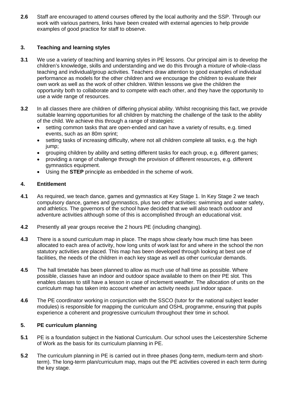**2.6** Staff are encouraged to attend courses offered by the local authority and the SSP. Through our work with various partners, links have been created with external agencies to help provide examples of good practice for staff to observe.

#### **3. Teaching and learning styles**

- **3.1** We use a variety of teaching and learning styles in PE lessons. Our principal aim is to develop the children's knowledge, skills and understanding and we do this through a mixture of whole-class teaching and individual/group activities. Teachers draw attention to good examples of individual performance as models for the other children and we encourage the children to evaluate their own work as well as the work of other children. Within lessons we give the children the opportunity both to collaborate and to compete with each other, and they have the opportunity to use a wide range of resources.
- **3.2** In all classes there are children of differing physical ability. Whilst recognising this fact, we provide suitable learning opportunities for all children by matching the challenge of the task to the ability of the child. We achieve this through a range of strategies:
	- setting common tasks that are open-ended and can have a variety of results, e.g. timed events, such as an 80m sprint;
	- setting tasks of increasing difficulty, where not all children complete all tasks, e.g. the high jump;
	- grouping children by ability and setting different tasks for each group, e.g. different games;
	- providing a range of challenge through the provision of different resources, e.g. different gymnastics equipment.
	- Using the **STEP** principle as embedded in the scheme of work.

#### **4. Entitlement**

- **4.1** As required, we teach dance, games and gymnastics at Key Stage 1. In Key Stage 2 we teach compulsory dance, games and gymnastics, plus two other activities: swimming and water safety, and athletics. The governors of the school have decided that we will also teach outdoor and adventure activities although some of this is accomplished through an educational visit.
- **4.2** Presently all year groups receive the 2 hours PE (including changing).
- **4.3** There is a sound curriculum map in place. The maps show clearly how much time has been allocated to each area of activity, how long units of work last for and where in the school the non statutory activities are placed. This map has been developed through looking at best use of facilities, the needs of the children in each key stage as well as other curricular demands.
- **4.5** The hall timetable has been planned to allow as much use of hall time as possible. Where possible, classes have an indoor and outdoor space available to them on their PE slot. This enables classes to still have a lesson in case of inclement weather. The allocation of units on the curriculum map has taken into account whether an activity needs just indoor space.
- **4.6** The PE coordinator working in conjunction with the SSCO (tutor for the national subject leader modules) is responsible for mapping the curriculum and OSHL programme, ensuring that pupils experience a coherent and progressive curriculum throughout their time in school.

#### **5. PE curriculum planning**

- **5.1** PE is a foundation subject in the National Curriculum. Our school uses the Leicestershire Scheme of Work as the basis for its curriculum planning in PE.
- **5.2** The curriculum planning in PE is carried out in three phases (long-term, medium-term and shortterm). The long-term plan/curriculum map, maps out the PE activities covered in each term during the key stage.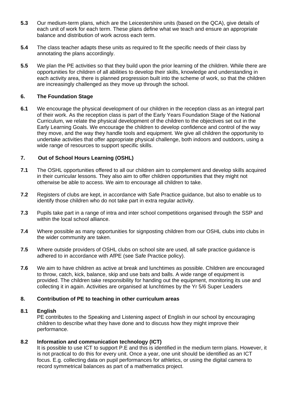- **5.3** Our medium-term plans, which are the Leicestershire units (based on the QCA), give details of each unit of work for each term. These plans define what we teach and ensure an appropriate balance and distribution of work across each term.
- **5.4** The class teacher adapts these units as required to fit the specific needs of their class by annotating the plans accordingly.
- **5.5** We plan the PE activities so that they build upon the prior learning of the children. While there are opportunities for children of all abilities to develop their skills, knowledge and understanding in each activity area, there is planned progression built into the scheme of work, so that the children are increasingly challenged as they move up through the school.

#### **6. The Foundation Stage**

**6.1** We encourage the physical development of our children in the reception class as an integral part of their work. As the reception class is part of the Early Years Foundation Stage of the National Curriculum, we relate the physical development of the children to the objectives set out in the Early Learning Goals. We encourage the children to develop confidence and control of the way they move, and the way they handle tools and equipment. We give all children the opportunity to undertake activities that offer appropriate physical challenge, both indoors and outdoors, using a wide range of resources to support specific skills.

#### **7. Out of School Hours Learning (OSHL)**

- **7.1** The OSHL opportunities offered to all our children aim to complement and develop skills acquired in their curricular lessons. They also aim to offer children opportunities that they might not otherwise be able to access. We aim to encourage all children to take.
- **7.2** Registers of clubs are kept, in accordance with Safe Practice guidance, but also to enable us to identify those children who do not take part in extra regular activity.
- **7.3** Pupils take part in a range of intra and inter school competitions organised through the SSP and within the local school alliance.
- **7.4** Where possible as many opportunities for signposting children from our OSHL clubs into clubs in the wider community are taken.
- **7.5** Where outside providers of OSHL clubs on school site are used, all safe practice guidance is adhered to in accordance with AfPE (see Safe Practice policy).
- **7.6** We aim to have children as active at break and lunchtimes as possible. Children are encouraged to throw, catch, kick, balance, skip and use bats and balls. A wide range of equipment is provided. The children take responsibility for handing out the equipment, monitoring its use and collecting it in again. Activities are organised at lunchtimes by the Yr 5/6 Super Leaders

#### **8. Contribution of PE to teaching in other curriculum areas**

#### **8.1 English**

PE contributes to the Speaking and Listening aspect of English in our school by encouraging children to describe what they have done and to discuss how they might improve their performance.

#### **8.2 Information and communication technology (ICT)**

It is possible to use ICT to support P.E and this is identified in the medium term plans. However, it is not practical to do this for every unit. Once a year, one unit should be identified as an ICT focus. E.g. collecting data on pupil performances for athletics, or using the digital camera to record symmetrical balances as part of a mathematics project.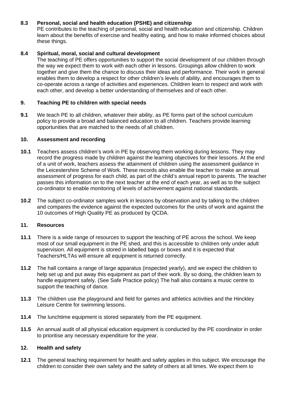#### **8.3 Personal, social and health education (PSHE) and citizenship**

PE contributes to the teaching of personal, social and health education and citizenship. Children learn about the benefits of exercise and healthy eating, and how to make informed choices about these things.

#### **8.4 Spiritual, moral, social and cultural development**

The teaching of PE offers opportunities to support the social development of our children through the way we expect them to work with each other in lessons. Groupings allow children to work together and give them the chance to discuss their ideas and performance. Their work in general enables them to develop a respect for other children's levels of ability, and encourages them to co-operate across a range of activities and experiences. Children learn to respect and work with each other, and develop a better understanding of themselves and of each other.

#### **9. Teaching PE to children with special needs**

**9.1** We teach PE to all children, whatever their ability, as PE forms part of the school curriculum policy to provide a broad and balanced education to all children. Teachers provide learning opportunities that are matched to the needs of all children.

#### **10. Assessment and recording**

- **10.1** Teachers assess children's work in PE by observing them working during lessons. They may record the progress made by children against the learning objectives for their lessons. At the end of a unit of work, teachers assess the attainment of children using the assessment guidance in the Leicestershire Scheme of Work. These records also enable the teacher to make an annual assessment of progress for each child, as part of the child's annual report to parents. The teacher passes this information on to the next teacher at the end of each year, as well as to the subject co-ordinator to enable monitoring of levels of achievement against national standards.
- **10.2** The subject co-ordinator samples work in lessons by observation and by talking to the children and compares the evidence against the expected outcomes for the units of work and against the 10 outcomes of High Quality PE as produced by QCDA.

#### **11. Resources**

- **11.1** There is a wide range of resources to support the teaching of PE across the school. We keep most of our small equipment in the PE shed, and this is accessible to children only under adult supervision. All equipment is stored in labelled bags or boxes and it is expected that Teachers/HLTAs will ensure all equipment is returned correctly.
- **11.2** The hall contains a range of large apparatus (inspected yearly), and we expect the children to help set up and put away this equipment as part of their work. By so doing, the children learn to handle equipment safely. (See Safe Practice policy) The hall also contains a music centre to support the teaching of dance.
- **11.3** The children use the playground and field for games and athletics activities and the Hinckley Leisure Centre for swimming lessons.
- **11.4** The lunchtime equipment is stored separately from the PE equipment.
- **11.5** An annual audit of all physical education equipment is conducted by the PE coordinator in order to prioritise any necessary expenditure for the year.

#### **12. Health and safety**

**12.1** The general teaching requirement for health and safety applies in this subject. We encourage the children to consider their own safety and the safety of others at all times. We expect them to